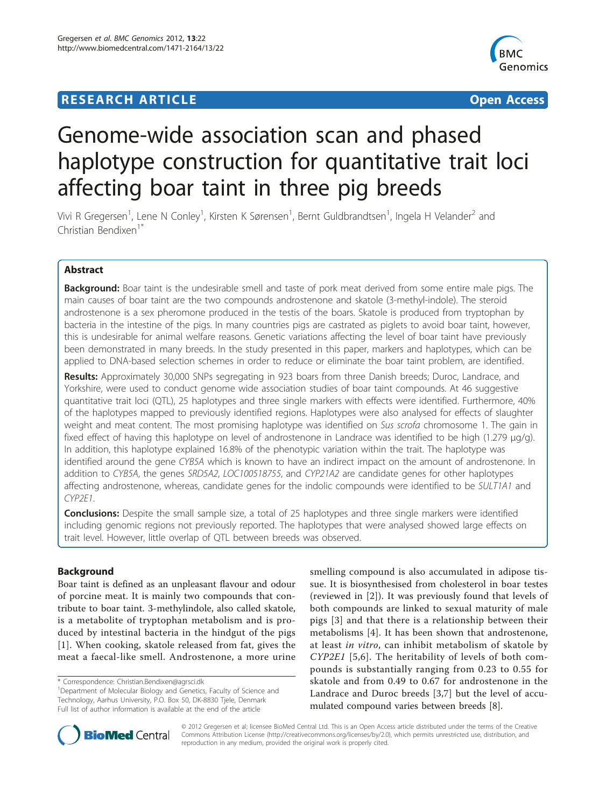## **RESEARCH ARTICLE Example 2018 12:00 Department of the Contract Open Access**



# Genome-wide association scan and phased haplotype construction for quantitative trait loci affecting boar taint in three pig breeds

Vivi R Gregersen<sup>1</sup>, Lene N Conley<sup>1</sup>, Kirsten K Sørensen<sup>1</sup>, Bernt Guldbrandtsen<sup>1</sup>, Ingela H Velander<sup>2</sup> and Christian Bendixen<sup>1\*</sup>

## Abstract

**Background:** Boar taint is the undesirable smell and taste of pork meat derived from some entire male pigs. The main causes of boar taint are the two compounds androstenone and skatole (3-methyl-indole). The steroid androstenone is a sex pheromone produced in the testis of the boars. Skatole is produced from tryptophan by bacteria in the intestine of the pigs. In many countries pigs are castrated as piglets to avoid boar taint, however, this is undesirable for animal welfare reasons. Genetic variations affecting the level of boar taint have previously been demonstrated in many breeds. In the study presented in this paper, markers and haplotypes, which can be applied to DNA-based selection schemes in order to reduce or eliminate the boar taint problem, are identified.

Results: Approximately 30,000 SNPs segregating in 923 boars from three Danish breeds; Duroc, Landrace, and Yorkshire, were used to conduct genome wide association studies of boar taint compounds. At 46 suggestive quantitative trait loci (QTL), 25 haplotypes and three single markers with effects were identified. Furthermore, 40% of the haplotypes mapped to previously identified regions. Haplotypes were also analysed for effects of slaughter weight and meat content. The most promising haplotype was identified on Sus scrofa chromosome 1. The gain in fixed effect of having this haplotype on level of androstenone in Landrace was identified to be high (1.279 μg/g). In addition, this haplotype explained 16.8% of the phenotypic variation within the trait. The haplotype was identified around the gene CYB5A which is known to have an indirect impact on the amount of androstenone. In addition to CYB5A, the genes SRD5A2, LOC100518755, and CYP21A2 are candidate genes for other haplotypes affecting androstenone, whereas, candidate genes for the indolic compounds were identified to be SULT1A1 and CYP2E1.

**Conclusions:** Despite the small sample size, a total of 25 haplotypes and three single markers were identified including genomic regions not previously reported. The haplotypes that were analysed showed large effects on trait level. However, little overlap of QTL between breeds was observed.

## Background

Boar taint is defined as an unpleasant flavour and odour of porcine meat. It is mainly two compounds that contribute to boar taint. 3-methylindole, also called skatole, is a metabolite of tryptophan metabolism and is produced by intestinal bacteria in the hindgut of the pigs [[1](#page-9-0)]. When cooking, skatole released from fat, gives the meat a faecal-like smell. Androstenone, a more urine smelling compound is also accumulated in adipose tissue. It is biosynthesised from cholesterol in boar testes (reviewed in [\[2\]](#page-9-0)). It was previously found that levels of both compounds are linked to sexual maturity of male pigs [[3](#page-9-0)] and that there is a relationship between their metabolisms [\[4](#page-9-0)]. It has been shown that androstenone, at least in vitro, can inhibit metabolism of skatole by CYP2E1 [[5,6\]](#page-9-0). The heritability of levels of both compounds is substantially ranging from 0.23 to 0.55 for skatole and from 0.49 to 0.67 for androstenone in the Landrace and Duroc breeds [[3,7](#page-9-0)] but the level of accumulated compound varies between breeds [\[8\]](#page-9-0).



© 2012 Gregersen et al; licensee BioMed Central Ltd. This is an Open Access article distributed under the terms of the Creative Commons Attribution License [\(http://creativecommons.org/licenses/by/2.0](http://creativecommons.org/licenses/by/2.0)), which permits unrestricted use, distribution, and reproduction in any medium, provided the original work is properly cited.

<sup>\*</sup> Correspondence: [Christian.Bendixen@agrsci.dk](mailto:Christian.Bendixen@agrsci.dk)

<sup>&</sup>lt;sup>1</sup>Department of Molecular Biology and Genetics, Faculty of Science and Technology, Aarhus University, P.O. Box 50, DK-8830 Tjele, Denmark Full list of author information is available at the end of the article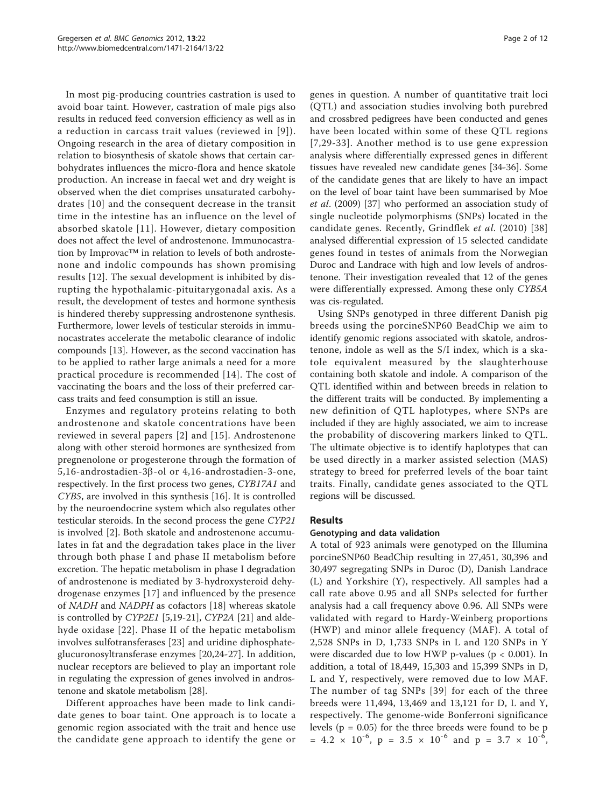In most pig-producing countries castration is used to avoid boar taint. However, castration of male pigs also results in reduced feed conversion efficiency as well as in a reduction in carcass trait values (reviewed in [[9](#page-9-0)]). Ongoing research in the area of dietary composition in relation to biosynthesis of skatole shows that certain carbohydrates influences the micro-flora and hence skatole production. An increase in faecal wet and dry weight is observed when the diet comprises unsaturated carbohydrates [[10\]](#page-9-0) and the consequent decrease in the transit time in the intestine has an influence on the level of absorbed skatole [[11](#page-9-0)]. However, dietary composition does not affect the level of androstenone. Immunocastration by Improvac™ in relation to levels of both androstenone and indolic compounds has shown promising results [\[12](#page-9-0)]. The sexual development is inhibited by disrupting the hypothalamic-pituitarygonadal axis. As a result, the development of testes and hormone synthesis is hindered thereby suppressing androstenone synthesis. Furthermore, lower levels of testicular steroids in immunocastrates accelerate the metabolic clearance of indolic compounds [\[13](#page-9-0)]. However, as the second vaccination has to be applied to rather large animals a need for a more practical procedure is recommended [[14\]](#page-9-0). The cost of vaccinating the boars and the loss of their preferred carcass traits and feed consumption is still an issue.

Enzymes and regulatory proteins relating to both androstenone and skatole concentrations have been reviewed in several papers [[2\]](#page-9-0) and [[15\]](#page-9-0). Androstenone along with other steroid hormones are synthesized from pregnenolone or progesterone through the formation of 5,16-androstadien-3b-ol or 4,16-androstadien-3-one, respectively. In the first process two genes, CYB17A1 and CYB5, are involved in this synthesis [[16](#page-9-0)]. It is controlled by the neuroendocrine system which also regulates other testicular steroids. In the second process the gene CYP21 is involved [[2\]](#page-9-0). Both skatole and androstenone accumulates in fat and the degradation takes place in the liver through both phase I and phase II metabolism before excretion. The hepatic metabolism in phase I degradation of androstenone is mediated by 3-hydroxysteroid dehydrogenase enzymes [[17\]](#page-10-0) and influenced by the presence of NADH and NADPH as cofactors [\[18](#page-10-0)] whereas skatole is controlled by CYP2E1 [\[5](#page-9-0),[19](#page-10-0)-[21\]](#page-10-0), CYP2A [[21](#page-10-0)] and aldehyde oxidase [[22\]](#page-10-0). Phase II of the hepatic metabolism involves sulfotransferases [[23\]](#page-10-0) and uridine diphosphateglucuronosyltransferase enzymes [[20,24-27](#page-10-0)]. In addition, nuclear receptors are believed to play an important role in regulating the expression of genes involved in androstenone and skatole metabolism [[28\]](#page-10-0).

Different approaches have been made to link candidate genes to boar taint. One approach is to locate a genomic region associated with the trait and hence use the candidate gene approach to identify the gene or genes in question. A number of quantitative trait loci (QTL) and association studies involving both purebred and crossbred pedigrees have been conducted and genes have been located within some of these QTL regions [[7](#page-9-0),[29](#page-10-0)-[33\]](#page-10-0). Another method is to use gene expression analysis where differentially expressed genes in different tissues have revealed new candidate genes [\[34](#page-10-0)-[36](#page-10-0)]. Some of the candidate genes that are likely to have an impact on the level of boar taint have been summarised by Moe et al. (2009) [\[37](#page-10-0)] who performed an association study of single nucleotide polymorphisms (SNPs) located in the candidate genes. Recently, Grindflek et al. (2010) [[38](#page-10-0)] analysed differential expression of 15 selected candidate genes found in testes of animals from the Norwegian Duroc and Landrace with high and low levels of androstenone. Their investigation revealed that 12 of the genes were differentially expressed. Among these only CYB5A was cis-regulated.

Using SNPs genotyped in three different Danish pig breeds using the porcineSNP60 BeadChip we aim to identify genomic regions associated with skatole, androstenone, indole as well as the S/I index, which is a skatole equivalent measured by the slaughterhouse containing both skatole and indole. A comparison of the QTL identified within and between breeds in relation to the different traits will be conducted. By implementing a new definition of QTL haplotypes, where SNPs are included if they are highly associated, we aim to increase the probability of discovering markers linked to QTL. The ultimate objective is to identify haplotypes that can be used directly in a marker assisted selection (MAS) strategy to breed for preferred levels of the boar taint traits. Finally, candidate genes associated to the QTL regions will be discussed.

## Results

## Genotyping and data validation

A total of 923 animals were genotyped on the Illumina porcineSNP60 BeadChip resulting in 27,451, 30,396 and 30,497 segregating SNPs in Duroc (D), Danish Landrace (L) and Yorkshire (Y), respectively. All samples had a call rate above 0.95 and all SNPs selected for further analysis had a call frequency above 0.96. All SNPs were validated with regard to Hardy-Weinberg proportions (HWP) and minor allele frequency (MAF). A total of 2,528 SNPs in D, 1,733 SNPs in L and 120 SNPs in Y were discarded due to low HWP p-values ( $p < 0.001$ ). In addition, a total of 18,449, 15,303 and 15,399 SNPs in D, L and Y, respectively, were removed due to low MAF. The number of tag SNPs [[39\]](#page-10-0) for each of the three breeds were 11,494, 13,469 and 13,121 for D, L and Y, respectively. The genome-wide Bonferroni significance levels ( $p = 0.05$ ) for the three breeds were found to be  $p$ = 4.2 × 10<sup>-6</sup>, p = 3.5 × 10<sup>-6</sup> and p = 3.7 × 10<sup>-6</sup>,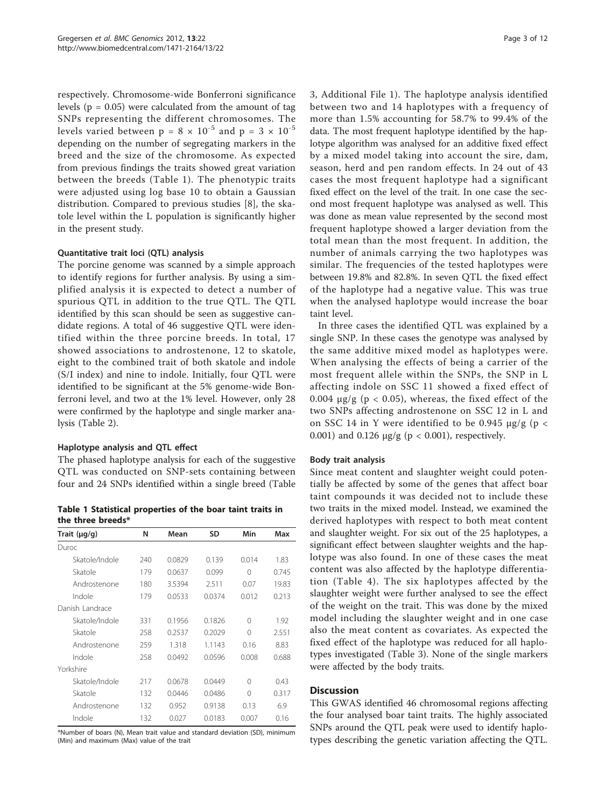respectively. Chromosome-wide Bonferroni significance levels ( $p = 0.05$ ) were calculated from the amount of tag SNPs representing the different chromosomes. The levels varied between  $p = 8 \times 10^{-5}$  and  $p = 3 \times 10^{-5}$ depending on the number of segregating markers in the breed and the size of the chromosome. As expected from previous findings the traits showed great variation between the breeds (Table 1). The phenotypic traits were adjusted using log base 10 to obtain a Gaussian distribution. Compared to previous studies [\[8](#page-9-0)], the skatole level within the L population is significantly higher in the present study.

## Quantitative trait loci (QTL) analysis

The porcine genome was scanned by a simple approach to identify regions for further analysis. By using a simplified analysis it is expected to detect a number of spurious QTL in addition to the true QTL. The QTL identified by this scan should be seen as suggestive candidate regions. A total of 46 suggestive QTL were identified within the three porcine breeds. In total, 17 showed associations to androstenone, 12 to skatole, eight to the combined trait of both skatole and indole (S/I index) and nine to indole. Initially, four QTL were identified to be significant at the 5% genome-wide Bonferroni level, and two at the 1% level. However, only 28 were confirmed by the haplotype and single marker analysis (Table [2](#page-3-0)).

## Haplotype analysis and QTL effect

The phased haplotype analysis for each of the suggestive QTL was conducted on SNP-sets containing between four and 24 SNPs identified within a single breed (Table

Table 1 Statistical properties of the boar taint traits in the three breeds\*

| Trait $(\mu g/g)$ | N   | Mean   | SD     | Min      | Max   |
|-------------------|-----|--------|--------|----------|-------|
| Duroc             |     |        |        |          |       |
| Skatole/Indole    | 740 | 0.0829 | 0.139  | 0.014    | 1.83  |
| Skatole           | 179 | 0.0637 | 0.099  | 0        | 0.745 |
| Androstenone      | 180 | 3.5394 | 2.511  | 0.07     | 19.83 |
| Indole            | 179 | 0.0533 | 0.0374 | 0.012    | 0.213 |
| Danish Landrace   |     |        |        |          |       |
| Skatole/Indole    | 331 | 0.1956 | 0.1826 | 0        | 1.92  |
| Skatole           | 258 | 0.2537 | 0.2029 | $\Omega$ | 2.551 |
| Androstenone      | 259 | 1.318  | 1.1143 | 0.16     | 8.83  |
| Indole            | 258 | 0.0492 | 0.0596 | 0.008    | 0.688 |
| Yorkshire         |     |        |        |          |       |
| Skatole/Indole    | 217 | 0.0678 | 0.0449 | $\Omega$ | 0.43  |
| Skatole           | 132 | 0.0446 | 0.0486 | 0        | 0.317 |
| Androstenone      | 132 | 0.952  | 0.9138 | 0.13     | 6.9   |
| Indole            | 132 | 0.027  | 0.0183 | 0.007    | 0.16  |

\*Number of boars (N), Mean trait value and standard deviation (SD), minimum (Min) and maximum (Max) value of the trait

[3,](#page-4-0) Additional File [1\)](#page-9-0). The haplotype analysis identified between two and 14 haplotypes with a frequency of more than 1.5% accounting for 58.7% to 99.4% of the data. The most frequent haplotype identified by the haplotype algorithm was analysed for an additive fixed effect by a mixed model taking into account the sire, dam, season, herd and pen random effects. In 24 out of 43 cases the most frequent haplotype had a significant fixed effect on the level of the trait. In one case the second most frequent haplotype was analysed as well. This was done as mean value represented by the second most frequent haplotype showed a larger deviation from the total mean than the most frequent. In addition, the number of animals carrying the two haplotypes was similar. The frequencies of the tested haplotypes were between 19.8% and 82.8%. In seven QTL the fixed effect of the haplotype had a negative value. This was true when the analysed haplotype would increase the boar taint level.

In three cases the identified QTL was explained by a single SNP. In these cases the genotype was analysed by the same additive mixed model as haplotypes were. When analysing the effects of being a carrier of the most frequent allele within the SNPs, the SNP in L affecting indole on SSC 11 showed a fixed effect of 0.004  $\mu$ g/g (p < 0.05), whereas, the fixed effect of the two SNPs affecting androstenone on SSC 12 in L and on SSC 14 in Y were identified to be 0.945 μg/g (p < 0.001) and 0.126  $\mu$ g/g (p < 0.001), respectively.

#### Body trait analysis

Since meat content and slaughter weight could potentially be affected by some of the genes that affect boar taint compounds it was decided not to include these two traits in the mixed model. Instead, we examined the derived haplotypes with respect to both meat content and slaughter weight. For six out of the 25 haplotypes, a significant effect between slaughter weights and the haplotype was also found. In one of these cases the meat content was also affected by the haplotype differentiation (Table [4](#page-5-0)). The six haplotypes affected by the slaughter weight were further analysed to see the effect of the weight on the trait. This was done by the mixed model including the slaughter weight and in one case also the meat content as covariates. As expected the fixed effect of the haplotype was reduced for all haplotypes investigated (Table [3\)](#page-4-0). None of the single markers were affected by the body traits.

## **Discussion**

This GWAS identified 46 chromosomal regions affecting the four analysed boar taint traits. The highly associated SNPs around the QTL peak were used to identify haplotypes describing the genetic variation affecting the QTL.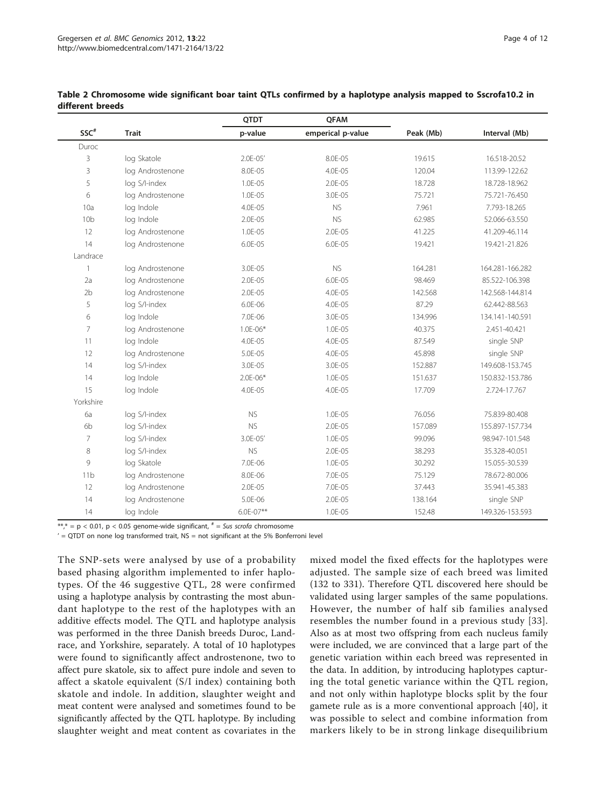|                  |                  | QTDT          | QFAM              |           |                 |
|------------------|------------------|---------------|-------------------|-----------|-----------------|
| SSC <sup>#</sup> | <b>Trait</b>     | p-value       | emperical p-value | Peak (Mb) | Interval (Mb)   |
| Duroc            |                  |               |                   |           |                 |
| 3                | log Skatole      | 2.0E-05'      | 8.0E-05           | 19.615    | 16.518-20.52    |
| 3                | log Androstenone | 8.0E-05       | 4.0E-05           | 120.04    | 113.99-122.62   |
| 5                | log S/I-index    | 1.0E-05       | 2.0E-05           | 18.728    | 18.728-18.962   |
| 6                | log Androstenone | 1.0E-05       | 3.0E-05           | 75.721    | 75.721-76.450   |
| 10a              | log Indole       | 4.0E-05       | <b>NS</b>         | 7.961     | 7.793-18.265    |
| 10 <sub>b</sub>  | log Indole       | 2.0E-05       | <b>NS</b>         | 62.985    | 52.066-63.550   |
| 12               | log Androstenone | 1.0E-05       | 2.0E-05           | 41.225    | 41.209-46.114   |
| 14               | log Androstenone | 6.0E-05       | 6.0E-05           | 19.421    | 19.421-21.826   |
| Landrace         |                  |               |                   |           |                 |
| $\mathbf{1}$     | log Androstenone | 3.0E-05       | <b>NS</b>         | 164.281   | 164.281-166.282 |
| 2a               | log Androstenone | 2.0E-05       | 6.0E-05           | 98.469    | 85.522-106.398  |
| 2 <sub>b</sub>   | log Androstenone | 2.0E-05       | 4.0E-05           | 142.568   | 142.568-144.814 |
| 5                | log S/I-index    | 6.0E-06       | 4.0E-05           | 87.29     | 62.442-88.563   |
| 6                | log Indole       | 7.0E-06       | 3.0E-05           | 134.996   | 134.141-140.591 |
| 7                | log Androstenone | 1.0E-06*      | 1.0E-05           | 40.375    | 2.451-40.421    |
| 11               | log Indole       | 4.0E-05       | 4.0E-05           | 87.549    | single SNP      |
| 12               | log Androstenone | 5.0E-05       | 4.0E-05           | 45.898    | single SNP      |
| 14               | log S/I-index    | 3.0E-05       | 3.0E-05           | 152.887   | 149.608-153.745 |
| 14               | log Indole       | 2.0E-06*      | 1.0E-05           | 151.637   | 150.832-153.786 |
| 15               | log Indole       | 4.0E-05       | 4.0E-05           | 17.709    | 2.724-17.767    |
| Yorkshire        |                  |               |                   |           |                 |
| <b>6a</b>        | log S/I-index    | <b>NS</b>     | 1.0E-05           | 76.056    | 75.839-80.408   |
| 6b               | log S/I-index    | <b>NS</b>     | 2.0E-05           | 157.089   | 155.897-157.734 |
| 7                | log S/I-index    | 3.0E-05'      | 1.0E-05           | 99.096    | 98.947-101.548  |
| 8                | log S/I-index    | <b>NS</b>     | 2.0E-05           | 38.293    | 35.328-40.051   |
| 9                | log Skatole      | 7.0E-06       | 1.0E-05           | 30.292    | 15.055-30.539   |
| 11b              | log Androstenone | 8.0E-06       | 7.0E-05           | 75.129    | 78.672-80.006   |
| 12               | log Androstenone | 2.0E-05       | 7.0E-05           | 37.443    | 35.941-45.383   |
| 14               | log Androstenone | 5.0E-06       | 2.0E-05           | 138.164   | single SNP      |
| 14               | log Indole       | $6.0E - 07**$ | 1.0E-05           | 152.48    | 149.326-153.593 |

#### <span id="page-3-0"></span>Table 2 Chromosome wide significant boar taint QTLs confirmed by a haplotype analysis mapped to Sscrofa10.2 in different breeds

\*\*,\* =  $p$  < 0.01,  $p$  < 0.05 genome-wide significant,  $* = Sus\,$  scrofa chromosome

 $'$  = QTDT on none log transformed trait, NS = not significant at the 5% Bonferroni level

The SNP-sets were analysed by use of a probability based phasing algorithm implemented to infer haplotypes. Of the 46 suggestive QTL, 28 were confirmed using a haplotype analysis by contrasting the most abundant haplotype to the rest of the haplotypes with an additive effects model. The QTL and haplotype analysis was performed in the three Danish breeds Duroc, Landrace, and Yorkshire, separately. A total of 10 haplotypes were found to significantly affect androstenone, two to affect pure skatole, six to affect pure indole and seven to affect a skatole equivalent (S/I index) containing both skatole and indole. In addition, slaughter weight and meat content were analysed and sometimes found to be significantly affected by the QTL haplotype. By including slaughter weight and meat content as covariates in the mixed model the fixed effects for the haplotypes were adjusted. The sample size of each breed was limited (132 to 331). Therefore QTL discovered here should be validated using larger samples of the same populations. However, the number of half sib families analysed resembles the number found in a previous study [[33\]](#page-10-0). Also as at most two offspring from each nucleus family were included, we are convinced that a large part of the genetic variation within each breed was represented in the data. In addition, by introducing haplotypes capturing the total genetic variance within the QTL region, and not only within haplotype blocks split by the four gamete rule as is a more conventional approach [[40\]](#page-10-0), it was possible to select and combine information from markers likely to be in strong linkage disequilibrium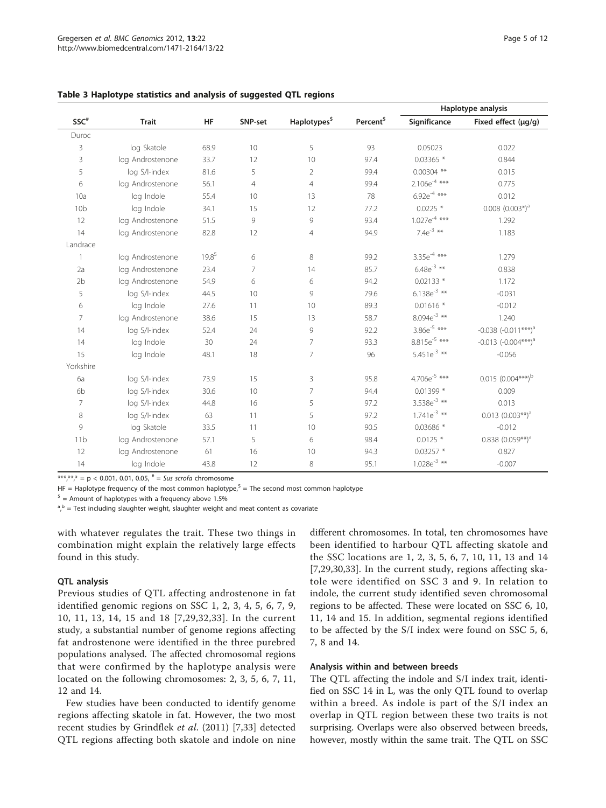|                 |                  |            |                |                          |                       | Haplotype analysis       |                          |
|-----------------|------------------|------------|----------------|--------------------------|-----------------------|--------------------------|--------------------------|
| $SSC^*$         | <b>Trait</b>     | <b>HF</b>  | SNP-set        | Haplotypes <sup>\$</sup> | Percent <sup>\$</sup> | Significance             | Fixed effect $(\mu q/q)$ |
| Duroc           |                  |            |                |                          |                       |                          |                          |
| 3               | log Skatole      | 68.9       | 10             | 5                        | 93                    | 0.05023                  | 0.022                    |
| 3               | log Androstenone | 33.7       | 12             | 10                       | 97.4                  | $0.03365*$               | 0.844                    |
| 5               | log S/I-index    | 81.6       | 5              | $\overline{2}$           | 99.4                  | $0.00304$ **             | 0.015                    |
| 6               | log Androstenone | 56.1       | $\overline{4}$ | 4                        | 99.4                  | $2.106e^{-4}$ ***        | 0.775                    |
| 10a             | log Indole       | 55.4       | 10             | 13                       | 78                    | $6.92e^{-4}$ ***         | 0.012                    |
| 10 <sub>b</sub> | log Indole       | 34.1       | 15             | 12                       | 77.2                  | $0.0225$ *               | $0.008$ $(0.003*)^a$     |
| 12              | log Androstenone | 51.5       | 9              | 9                        | 93.4                  | $1.027e^{-4}$ ***        | 1.292                    |
| 14              | log Androstenone | 82.8       | 12             | 4                        | 94.9                  | 7.4 $e^{-3}$ **          | 1.183                    |
| Landrace        |                  |            |                |                          |                       |                          |                          |
| 1               | log Androstenone | $19.8^{5}$ | 6              | 8                        | 99.2                  | 3.35e <sup>-4</sup> ***  | 1.279                    |
| 2a              | log Androstenone | 23.4       | $\overline{7}$ | 14                       | 85.7                  | $6.48e^{-3}$ **          | 0.838                    |
| 2b              | log Androstenone | 54.9       | 6              | 6                        | 94.2                  | $0.02133*$               | 1.172                    |
| 5               | log S/I-index    | 44.5       | 10             | 9                        | 79.6                  | 6.138 $e^{-3}$ **        | $-0.031$                 |
| 6               | log Indole       | 27.6       | 11             | 10                       | 89.3                  | $0.01616*$               | $-0.012$                 |
| $\overline{7}$  | log Androstenone | 38.6       | 15             | 13                       | 58.7                  | 8.094e <sup>-3</sup> **  | 1.240                    |
| 14              | log S/I-index    | 52.4       | 24             | 9                        | 92.2                  | $3.86e^{-5***}$          | $-0.038$ $(-0.011***)^a$ |
| 14              | log Indole       | 30         | 24             | 7                        | 93.3                  | 8.815e <sup>-5</sup> *** | $-0.013$ $(-0.004***)^a$ |
| 15              | log Indole       | 48.1       | 18             | 7                        | 96                    | $5.451e^{-3}$ **         | $-0.056$                 |
| Yorkshire       |                  |            |                |                          |                       |                          |                          |
| 6a              | log S/I-index    | 73.9       | 15             | 3                        | 95.8                  | 4.706e <sup>-5</sup> *** | $0.015$ $(0.004***)^{b}$ |
| 6b              | log S/I-index    | 30.6       | 10             | 7                        | 94.4                  | $0.01399*$               | 0.009                    |
| $\overline{7}$  | log S/I-index    | 44.8       | 16             | 5                        | 97.2                  | 3.538 $e^{-3}$ **        | 0.013                    |
| 8               | log S/I-index    | 63         | 11             | 5                        | 97.2                  | $1.741e^{-3}$ **         | $0.013$ $(0.003**)^a$    |
| 9               | log Skatole      | 33.5       | 11             | 10                       | 90.5                  | 0.03686 *                | $-0.012$                 |
| 11 <sub>b</sub> | log Androstenone | 57.1       | 5              | 6                        | 98.4                  | $0.0125$ *               | $0.838$ $(0.059**)^a$    |
| 12              | log Androstenone | 61         | 16             | 10                       | 94.3                  | $0.03257*$               | 0.827                    |
| 14              | log Indole       | 43.8       | 12             | 8                        | 95.1                  | $1.028e^{-3}$ **         | $-0.007$                 |

#### <span id="page-4-0"></span>Table 3 Haplotype statistics and analysis of suggested QTL regions

\*\*\*,\*\*,\* = p < 0.001, 0.01, 0.05,  $^*$  = Sus scrofa chromosome

HF = Haplotype frequency of the most common haplotype,<sup>S</sup> = The second most common haplotype

 $s =$  Amount of haplotypes with a frequency above 1.5%

 $a<sup>b</sup>$  = Test including slaughter weight, slaughter weight and meat content as covariate ,

with whatever regulates the trait. These two things in combination might explain the relatively large effects found in this study.

#### QTL analysis

Previous studies of QTL affecting androstenone in fat identified genomic regions on SSC 1, 2, 3, 4, 5, 6, 7, 9, 10, 11, 13, 14, 15 and 18 [\[7,](#page-9-0)[29,32,33](#page-10-0)]. In the current study, a substantial number of genome regions affecting fat androstenone were identified in the three purebred populations analysed. The affected chromosomal regions that were confirmed by the haplotype analysis were located on the following chromosomes: 2, 3, 5, 6, 7, 11, 12 and 14.

Few studies have been conducted to identify genome regions affecting skatole in fat. However, the two most recent studies by Grindflek et al. (2011) [[7,](#page-9-0)[33](#page-10-0)] detected QTL regions affecting both skatole and indole on nine

different chromosomes. In total, ten chromosomes have been identified to harbour QTL affecting skatole and the SSC locations are 1, 2, 3, 5, 6, 7, 10, 11, 13 and 14 [[7](#page-9-0)[,29,30](#page-10-0),[33\]](#page-10-0). In the current study, regions affecting skatole were identified on SSC 3 and 9. In relation to indole, the current study identified seven chromosomal regions to be affected. These were located on SSC 6, 10, 11, 14 and 15. In addition, segmental regions identified to be affected by the S/I index were found on SSC 5, 6, 7, 8 and 14.

#### Analysis within and between breeds

The QTL affecting the indole and S/I index trait, identified on SSC 14 in L, was the only QTL found to overlap within a breed. As indole is part of the S/I index an overlap in QTL region between these two traits is not surprising. Overlaps were also observed between breeds, however, mostly within the same trait. The QTL on SSC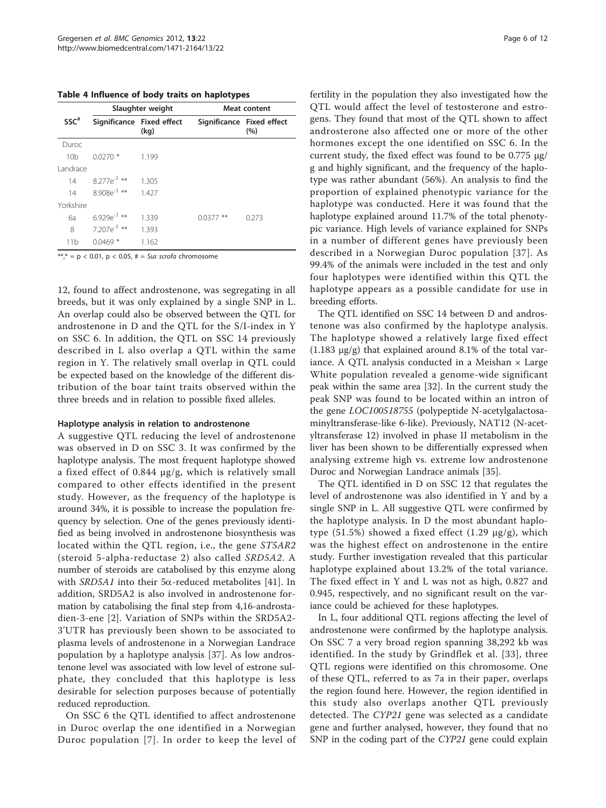<span id="page-5-0"></span>Table 4 Influence of body traits on haplotypes

|                    |                           | Slaughter weight | <b>Meat content</b>       |       |  |  |
|--------------------|---------------------------|------------------|---------------------------|-------|--|--|
| $SSC$ <sup>#</sup> | Significance Fixed effect | (kq)             | Significance Fixed effect | (%)   |  |  |
| Duroc              |                           |                  |                           |       |  |  |
| 10 <sub>b</sub>    | $0.0270*$                 | 1.199            |                           |       |  |  |
| Landrace           |                           |                  |                           |       |  |  |
| 14                 | $8277e^{-3}$ **           | 1.305            |                           |       |  |  |
| 14                 | $8.908e^{-3}$ **          | 1427             |                           |       |  |  |
| Yorkshire          |                           |                  |                           |       |  |  |
| ба                 | $6.929e^{-3}$ **          | 1.339            | 0.0377<br>$***$           | 0.273 |  |  |
| 8                  | $7.207e^{-3}$ **          | 1.393            |                           |       |  |  |
| 11 <sub>b</sub>    | $0.0469$ *                | 1.162            |                           |       |  |  |

\*\*,\* = p < 0.01, p < 0.05, # = Sus scrofa chromosome

12, found to affect androstenone, was segregating in all breeds, but it was only explained by a single SNP in L. An overlap could also be observed between the QTL for androstenone in D and the QTL for the S/I-index in Y on SSC 6. In addition, the QTL on SSC 14 previously described in L also overlap a QTL within the same region in Y. The relatively small overlap in QTL could be expected based on the knowledge of the different distribution of the boar taint traits observed within the three breeds and in relation to possible fixed alleles.

#### Haplotype analysis in relation to androstenone

A suggestive QTL reducing the level of androstenone was observed in D on SSC 3. It was confirmed by the haplotype analysis. The most frequent haplotype showed a fixed effect of 0.844 μg/g, which is relatively small compared to other effects identified in the present study. However, as the frequency of the haplotype is around 34%, it is possible to increase the population frequency by selection. One of the genes previously identified as being involved in androstenone biosynthesis was located within the QTL region, i.e., the gene ST5AR2 (steroid 5-alpha-reductase 2) also called SRD5A2. A number of steroids are catabolised by this enzyme along with *SRD5A1* into their 5 $\alpha$ -reduced metabolites [\[41](#page-10-0)]. In addition, SRD5A2 is also involved in androstenone formation by catabolising the final step from 4,16-androstadien-3-ene [[2](#page-9-0)]. Variation of SNPs within the SRD5A2- 3'UTR has previously been shown to be associated to plasma levels of androstenone in a Norwegian Landrace population by a haplotype analysis [[37\]](#page-10-0). As low androstenone level was associated with low level of estrone sulphate, they concluded that this haplotype is less desirable for selection purposes because of potentially reduced reproduction.

On SSC 6 the QTL identified to affect androstenone in Duroc overlap the one identified in a Norwegian Duroc population [[7](#page-9-0)]. In order to keep the level of fertility in the population they also investigated how the QTL would affect the level of testosterone and estrogens. They found that most of the QTL shown to affect androsterone also affected one or more of the other hormones except the one identified on SSC 6. In the current study, the fixed effect was found to be 0.775 μg/ g and highly significant, and the frequency of the haplotype was rather abundant (56%). An analysis to find the proportion of explained phenotypic variance for the haplotype was conducted. Here it was found that the haplotype explained around 11.7% of the total phenotypic variance. High levels of variance explained for SNPs in a number of different genes have previously been described in a Norwegian Duroc population [\[37\]](#page-10-0). As 99.4% of the animals were included in the test and only four haplotypes were identified within this QTL the haplotype appears as a possible candidate for use in breeding efforts.

The QTL identified on SSC 14 between D and androstenone was also confirmed by the haplotype analysis. The haplotype showed a relatively large fixed effect (1.183  $\mu$ g/g) that explained around 8.1% of the total variance. A QTL analysis conducted in a Meishan  $\times$  Large White population revealed a genome-wide significant peak within the same area [\[32\]](#page-10-0). In the current study the peak SNP was found to be located within an intron of the gene LOC100518755 (polypeptide N-acetylgalactosaminyltransferase-like 6-like). Previously, NAT12 (N-acetyltransferase 12) involved in phase II metabolism in the liver has been shown to be differentially expressed when analysing extreme high vs. extreme low androstenone Duroc and Norwegian Landrace animals [\[35](#page-10-0)].

The QTL identified in D on SSC 12 that regulates the level of androstenone was also identified in Y and by a single SNP in L. All suggestive QTL were confirmed by the haplotype analysis. In D the most abundant haplotype (51.5%) showed a fixed effect (1.29  $\mu$ g/g), which was the highest effect on androstenone in the entire study. Further investigation revealed that this particular haplotype explained about 13.2% of the total variance. The fixed effect in Y and L was not as high, 0.827 and 0.945, respectively, and no significant result on the variance could be achieved for these haplotypes.

In L, four additional QTL regions affecting the level of androstenone were confirmed by the haplotype analysis. On SSC 7 a very broad region spanning 38,292 kb was identified. In the study by Grindflek et al. [[33](#page-10-0)], three QTL regions were identified on this chromosome. One of these QTL, referred to as 7a in their paper, overlaps the region found here. However, the region identified in this study also overlaps another QTL previously detected. The CYP21 gene was selected as a candidate gene and further analysed, however, they found that no SNP in the coding part of the CYP21 gene could explain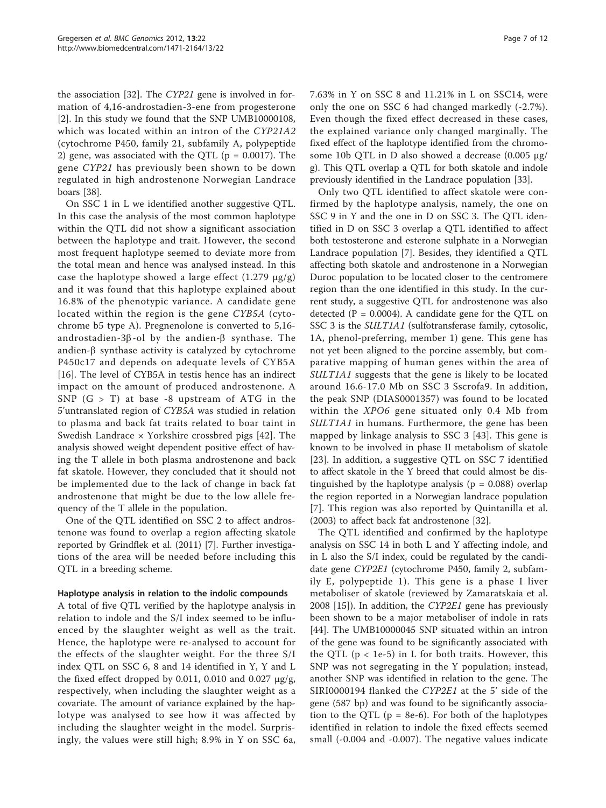the association [[32](#page-10-0)]. The CYP21 gene is involved in formation of 4,16-androstadien-3-ene from progesterone [[2\]](#page-9-0). In this study we found that the SNP UMB10000108, which was located within an intron of the CYP21A2 (cytochrome P450, family 21, subfamily A, polypeptide 2) gene, was associated with the QTL ( $p = 0.0017$ ). The gene CYP21 has previously been shown to be down regulated in high androstenone Norwegian Landrace boars [\[38\]](#page-10-0).

On SSC 1 in L we identified another suggestive QTL. In this case the analysis of the most common haplotype within the QTL did not show a significant association between the haplotype and trait. However, the second most frequent haplotype seemed to deviate more from the total mean and hence was analysed instead. In this case the haplotype showed a large effect  $(1.279 \mu g/g)$ and it was found that this haplotype explained about 16.8% of the phenotypic variance. A candidate gene located within the region is the gene CYB5A (cytochrome b5 type A). Pregnenolone is converted to 5,16 androstadien-3 $\beta$ -ol by the andien- $\beta$  synthase. The andien- $\beta$  synthase activity is catalyzed by cytochrome P450c17 and depends on adequate levels of CYB5A [[16\]](#page-9-0). The level of CYB5A in testis hence has an indirect impact on the amount of produced androstenone. A SNP  $(G > T)$  at base -8 upstream of ATG in the 5'untranslated region of CYB5A was studied in relation to plasma and back fat traits related to boar taint in Swedish Landrace  $\times$  Yorkshire crossbred pigs [\[42](#page-10-0)]. The analysis showed weight dependent positive effect of having the T allele in both plasma androstenone and back fat skatole. However, they concluded that it should not be implemented due to the lack of change in back fat androstenone that might be due to the low allele frequency of the T allele in the population.

One of the QTL identified on SSC 2 to affect androstenone was found to overlap a region affecting skatole reported by Grindflek et al. (2011) [[7](#page-9-0)]. Further investigations of the area will be needed before including this QTL in a breeding scheme.

## Haplotype analysis in relation to the indolic compounds

A total of five QTL verified by the haplotype analysis in relation to indole and the S/I index seemed to be influenced by the slaughter weight as well as the trait. Hence, the haplotype were re-analysed to account for the effects of the slaughter weight. For the three S/I index QTL on SSC 6, 8 and 14 identified in Y, Y and L the fixed effect dropped by 0.011, 0.010 and 0.027 μg/g, respectively, when including the slaughter weight as a covariate. The amount of variance explained by the haplotype was analysed to see how it was affected by including the slaughter weight in the model. Surprisingly, the values were still high; 8.9% in Y on SSC 6a, 7.63% in Y on SSC 8 and 11.21% in L on SSC14, were only the one on SSC 6 had changed markedly (-2.7%). Even though the fixed effect decreased in these cases, the explained variance only changed marginally. The fixed effect of the haplotype identified from the chromosome 10b QTL in D also showed a decrease (0.005 μg/ g). This QTL overlap a QTL for both skatole and indole previously identified in the Landrace population [[33](#page-10-0)].

Only two QTL identified to affect skatole were confirmed by the haplotype analysis, namely, the one on SSC 9 in Y and the one in D on SSC 3. The QTL identified in D on SSC 3 overlap a QTL identified to affect both testosterone and esterone sulphate in a Norwegian Landrace population [[7\]](#page-9-0). Besides, they identified a QTL affecting both skatole and androstenone in a Norwegian Duroc population to be located closer to the centromere region than the one identified in this study. In the current study, a suggestive QTL for androstenone was also detected ( $P = 0.0004$ ). A candidate gene for the QTL on SSC 3 is the SULT1A1 (sulfotransferase family, cytosolic, 1A, phenol-preferring, member 1) gene. This gene has not yet been aligned to the porcine assembly, but comparative mapping of human genes within the area of SULT1A1 suggests that the gene is likely to be located around 16.6-17.0 Mb on SSC 3 Sscrofa9. In addition, the peak SNP (DIAS0001357) was found to be located within the XPO6 gene situated only 0.4 Mb from SULT1A1 in humans. Furthermore, the gene has been mapped by linkage analysis to SSC 3 [[43](#page-10-0)]. This gene is known to be involved in phase II metabolism of skatole [[23](#page-10-0)]. In addition, a suggestive QTL on SSC 7 identified to affect skatole in the Y breed that could almost be distinguished by the haplotype analysis ( $p = 0.088$ ) overlap the region reported in a Norwegian landrace population [[7](#page-9-0)]. This region was also reported by Quintanilla et al. (2003) to affect back fat androstenone [[32](#page-10-0)].

The QTL identified and confirmed by the haplotype analysis on SSC 14 in both L and Y affecting indole, and in L also the S/I index, could be regulated by the candidate gene CYP2E1 (cytochrome P450, family 2, subfamily E, polypeptide 1). This gene is a phase I liver metaboliser of skatole (reviewed by Zamaratskaia et al. 2008 [[15\]](#page-9-0)). In addition, the CYP2E1 gene has previously been shown to be a major metaboliser of indole in rats [[44\]](#page-10-0). The UMB10000045 SNP situated within an intron of the gene was found to be significantly associated with the QTL ( $p < 1e-5$ ) in L for both traits. However, this SNP was not segregating in the Y population; instead, another SNP was identified in relation to the gene. The SIRI0000194 flanked the CYP2E1 at the 5' side of the gene (587 bp) and was found to be significantly association to the QTL ( $p = 8e-6$ ). For both of the haplotypes identified in relation to indole the fixed effects seemed small (-0.004 and -0.007). The negative values indicate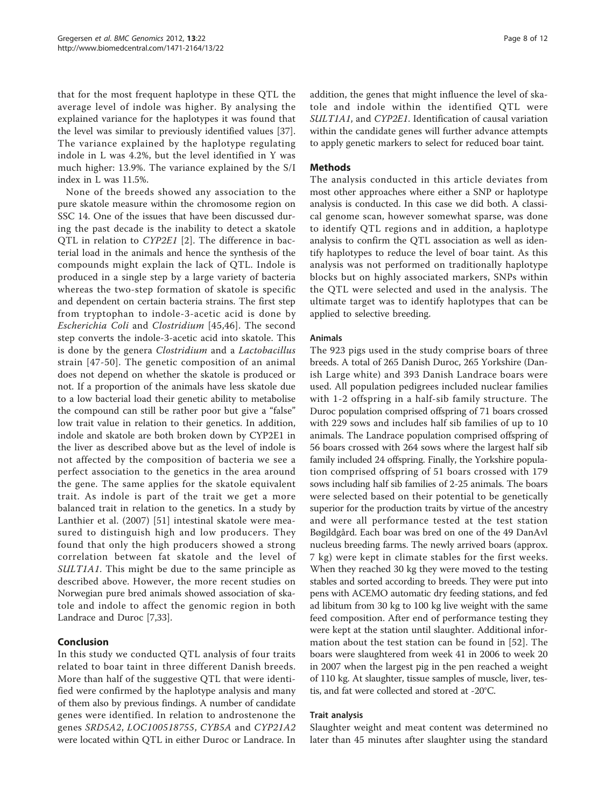that for the most frequent haplotype in these QTL the average level of indole was higher. By analysing the explained variance for the haplotypes it was found that the level was similar to previously identified values [\[37](#page-10-0)]. The variance explained by the haplotype regulating indole in L was 4.2%, but the level identified in Y was much higher: 13.9%. The variance explained by the S/I index in L was 11.5%.

None of the breeds showed any association to the pure skatole measure within the chromosome region on SSC 14. One of the issues that have been discussed during the past decade is the inability to detect a skatole QTL in relation to CYP2E1 [[2](#page-9-0)]. The difference in bacterial load in the animals and hence the synthesis of the compounds might explain the lack of QTL. Indole is produced in a single step by a large variety of bacteria whereas the two-step formation of skatole is specific and dependent on certain bacteria strains. The first step from tryptophan to indole-3-acetic acid is done by Escherichia Coli and Clostridium [[45](#page-10-0),[46](#page-10-0)]. The second step converts the indole-3-acetic acid into skatole. This is done by the genera Clostridium and a Lactobacillus strain [\[47-50](#page-10-0)]. The genetic composition of an animal does not depend on whether the skatole is produced or not. If a proportion of the animals have less skatole due to a low bacterial load their genetic ability to metabolise the compound can still be rather poor but give a "false" low trait value in relation to their genetics. In addition, indole and skatole are both broken down by CYP2E1 in the liver as described above but as the level of indole is not affected by the composition of bacteria we see a perfect association to the genetics in the area around the gene. The same applies for the skatole equivalent trait. As indole is part of the trait we get a more balanced trait in relation to the genetics. In a study by Lanthier et al. (2007) [[51](#page-10-0)] intestinal skatole were measured to distinguish high and low producers. They found that only the high producers showed a strong correlation between fat skatole and the level of SULT1A1. This might be due to the same principle as described above. However, the more recent studies on Norwegian pure bred animals showed association of skatole and indole to affect the genomic region in both Landrace and Duroc [\[7](#page-9-0)[,33](#page-10-0)].

## Conclusion

In this study we conducted QTL analysis of four traits related to boar taint in three different Danish breeds. More than half of the suggestive QTL that were identified were confirmed by the haplotype analysis and many of them also by previous findings. A number of candidate genes were identified. In relation to androstenone the genes SRD5A2, LOC100518755, CYB5A and CYP21A2 were located within QTL in either Duroc or Landrace. In addition, the genes that might influence the level of skatole and indole within the identified QTL were SULT1A1, and CYP2E1. Identification of causal variation within the candidate genes will further advance attempts to apply genetic markers to select for reduced boar taint.

## Methods

The analysis conducted in this article deviates from most other approaches where either a SNP or haplotype analysis is conducted. In this case we did both. A classical genome scan, however somewhat sparse, was done to identify QTL regions and in addition, a haplotype analysis to confirm the QTL association as well as identify haplotypes to reduce the level of boar taint. As this analysis was not performed on traditionally haplotype blocks but on highly associated markers, SNPs within the QTL were selected and used in the analysis. The ultimate target was to identify haplotypes that can be applied to selective breeding.

## Animals

The 923 pigs used in the study comprise boars of three breeds. A total of 265 Danish Duroc, 265 Yorkshire (Danish Large white) and 393 Danish Landrace boars were used. All population pedigrees included nuclear families with 1-2 offspring in a half-sib family structure. The Duroc population comprised offspring of 71 boars crossed with 229 sows and includes half sib families of up to 10 animals. The Landrace population comprised offspring of 56 boars crossed with 264 sows where the largest half sib family included 24 offspring. Finally, the Yorkshire population comprised offspring of 51 boars crossed with 179 sows including half sib families of 2-25 animals. The boars were selected based on their potential to be genetically superior for the production traits by virtue of the ancestry and were all performance tested at the test station Bøgildgård. Each boar was bred on one of the 49 DanAvl nucleus breeding farms. The newly arrived boars (approx. 7 kg) were kept in climate stables for the first weeks. When they reached 30 kg they were moved to the testing stables and sorted according to breeds. They were put into pens with ACEMO automatic dry feeding stations, and fed ad libitum from 30 kg to 100 kg live weight with the same feed composition. After end of performance testing they were kept at the station until slaughter. Additional information about the test station can be found in [\[52](#page-10-0)]. The boars were slaughtered from week 41 in 2006 to week 20 in 2007 when the largest pig in the pen reached a weight of 110 kg. At slaughter, tissue samples of muscle, liver, testis, and fat were collected and stored at -20°C.

## Trait analysis

Slaughter weight and meat content was determined no later than 45 minutes after slaughter using the standard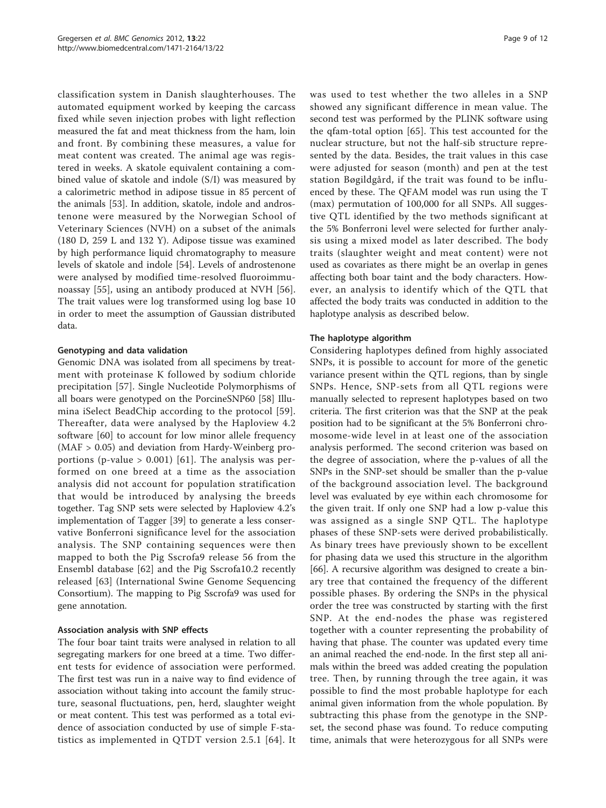classification system in Danish slaughterhouses. The automated equipment worked by keeping the carcass fixed while seven injection probes with light reflection measured the fat and meat thickness from the ham, loin and front. By combining these measures, a value for meat content was created. The animal age was registered in weeks. A skatole equivalent containing a combined value of skatole and indole (S/I) was measured by a calorimetric method in adipose tissue in 85 percent of the animals [\[53](#page-10-0)]. In addition, skatole, indole and androstenone were measured by the Norwegian School of Veterinary Sciences (NVH) on a subset of the animals (180 D, 259 L and 132 Y). Adipose tissue was examined by high performance liquid chromatography to measure levels of skatole and indole [\[54\]](#page-10-0). Levels of androstenone were analysed by modified time-resolved fluoroimmunoassay [\[55](#page-10-0)], using an antibody produced at NVH [\[56](#page-10-0)]. The trait values were log transformed using log base 10 in order to meet the assumption of Gaussian distributed data.

## Genotyping and data validation

Genomic DNA was isolated from all specimens by treatment with proteinase K followed by sodium chloride precipitation [[57\]](#page-10-0). Single Nucleotide Polymorphisms of all boars were genotyped on the PorcineSNP60 [\[58\]](#page-10-0) Illumina iSelect BeadChip according to the protocol [[59](#page-10-0)]. Thereafter, data were analysed by the Haploview 4.2 software [\[60](#page-10-0)] to account for low minor allele frequency (MAF > 0.05) and deviation from Hardy-Weinberg proportions (p-value  $> 0.001$ ) [[61](#page-10-0)]. The analysis was performed on one breed at a time as the association analysis did not account for population stratification that would be introduced by analysing the breeds together. Tag SNP sets were selected by Haploview 4.2's implementation of Tagger [\[39\]](#page-10-0) to generate a less conservative Bonferroni significance level for the association analysis. The SNP containing sequences were then mapped to both the Pig Sscrofa9 release 56 from the Ensembl database [\[62](#page-10-0)] and the Pig Sscrofa10.2 recently released [\[63](#page-11-0)] (International Swine Genome Sequencing Consortium). The mapping to Pig Sscrofa9 was used for gene annotation.

## Association analysis with SNP effects

The four boar taint traits were analysed in relation to all segregating markers for one breed at a time. Two different tests for evidence of association were performed. The first test was run in a naive way to find evidence of association without taking into account the family structure, seasonal fluctuations, pen, herd, slaughter weight or meat content. This test was performed as a total evidence of association conducted by use of simple F-statistics as implemented in QTDT version 2.5.1 [[64](#page-11-0)]. It was used to test whether the two alleles in a SNP showed any significant difference in mean value. The second test was performed by the PLINK software using the qfam-total option [\[65](#page-11-0)]. This test accounted for the nuclear structure, but not the half-sib structure represented by the data. Besides, the trait values in this case were adjusted for season (month) and pen at the test station Bøgildgård, if the trait was found to be influenced by these. The QFAM model was run using the T (max) permutation of 100,000 for all SNPs. All suggestive QTL identified by the two methods significant at the 5% Bonferroni level were selected for further analysis using a mixed model as later described. The body traits (slaughter weight and meat content) were not used as covariates as there might be an overlap in genes affecting both boar taint and the body characters. However, an analysis to identify which of the QTL that affected the body traits was conducted in addition to the haplotype analysis as described below.

## The haplotype algorithm

Considering haplotypes defined from highly associated SNPs, it is possible to account for more of the genetic variance present within the QTL regions, than by single SNPs. Hence, SNP-sets from all QTL regions were manually selected to represent haplotypes based on two criteria. The first criterion was that the SNP at the peak position had to be significant at the 5% Bonferroni chromosome-wide level in at least one of the association analysis performed. The second criterion was based on the degree of association, where the p-values of all the SNPs in the SNP-set should be smaller than the p-value of the background association level. The background level was evaluated by eye within each chromosome for the given trait. If only one SNP had a low p-value this was assigned as a single SNP QTL. The haplotype phases of these SNP-sets were derived probabilistically. As binary trees have previously shown to be excellent for phasing data we used this structure in the algorithm [[66\]](#page-11-0). A recursive algorithm was designed to create a binary tree that contained the frequency of the different possible phases. By ordering the SNPs in the physical order the tree was constructed by starting with the first SNP. At the end-nodes the phase was registered together with a counter representing the probability of having that phase. The counter was updated every time an animal reached the end-node. In the first step all animals within the breed was added creating the population tree. Then, by running through the tree again, it was possible to find the most probable haplotype for each animal given information from the whole population. By subtracting this phase from the genotype in the SNPset, the second phase was found. To reduce computing time, animals that were heterozygous for all SNPs were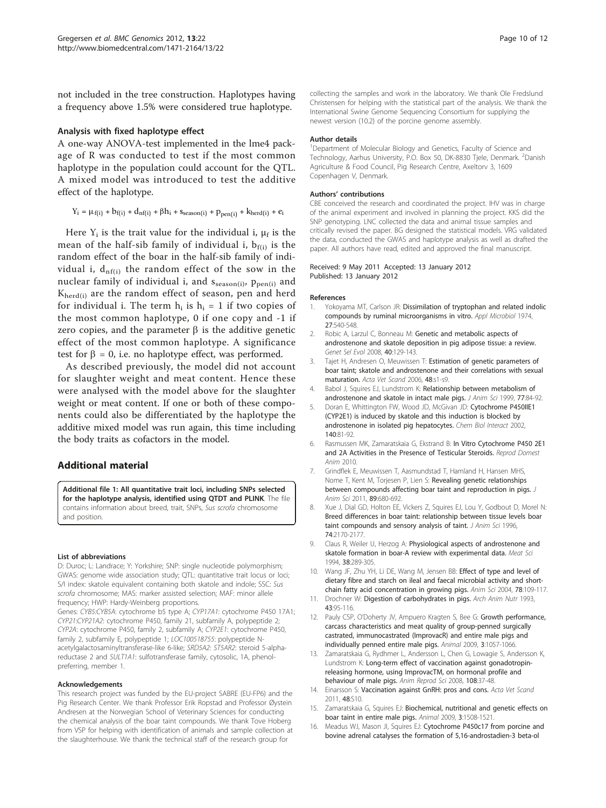<span id="page-9-0"></span>not included in the tree construction. Haplotypes having a frequency above 1.5% were considered true haplotype.

#### Analysis with fixed haplotype effect

A one-way ANOVA-test implemented in the lme4 package of R was conducted to test if the most common haplotype in the population could account for the QTL. A mixed model was introduced to test the additive effect of the haplotype.

 $Y_i = \mu_{f(i)} + b_{f(i)} + d_{nf(i)} + \beta h_i + s_{season(i)} + p_{pen(i)} + k_{herd(i)} + e_i$ 

Here  $Y_i$  is the trait value for the individual i,  $\mu_f$  is the mean of the half-sib family of individual i,  $b_{f(i)}$  is the random effect of the boar in the half-sib family of individual i,  $d_{\text{nfd}}$  the random effect of the sow in the nuclear family of individual i, and  $s_{\text{season}(i)}$ ,  $p_{\text{pen}(i)}$  and  $K_{\text{herd}(i)}$  are the random effect of season, pen and herd for individual i. The term  $h_i$  is  $h_i = 1$  if two copies of the most common haplotype, 0 if one copy and -1 if zero copies, and the parameter  $\beta$  is the additive genetic effect of the most common haplotype. A significance test for  $\beta = 0$ , i.e. no haplotype effect, was performed.

As described previously, the model did not account for slaughter weight and meat content. Hence these were analysed with the model above for the slaughter weight or meat content. If one or both of these components could also be differentiated by the haplotype the additive mixed model was run again, this time including the body traits as cofactors in the model.

## Additional material

[Additional file 1: A](http://www.biomedcentral.com/content/supplementary/1471-2164-13-22-S1.XLS)ll quantitative trait loci, including SNPs selected for the haplotype analysis, identified using QTDT and PLINK. The file contains information about breed, trait, SNPs, Sus scrofa chromosome and position.

#### List of abbreviations

D: Duroc; L: Landrace; Y: Yorkshire; SNP: single nucleotide polymorphism; GWAS: genome wide association study; QTL: quantitative trait locus or loci; S/I index: skatole equivalent containing both skatole and indole; SSC: Sus scrofa chromosome; MAS: marker assisted selection; MAF: minor allele frequency; HWP: Hardy-Weinberg proportions.

Genes: CYB5:CYB5A: cytochrome b5 type A; CYP17A1: cytochrome P450 17A1; CYP21:CYP21A2: cytochrome P450, family 21, subfamily A, polypeptide 2; CYP2A: cytochrome P450, family 2, subfamily A; CYP2E1: cytochrome P450, family 2, subfamily E, polypeptide 1; LOC100518755: polypeptide Nacetylgalactosaminyltransferase-like 6-like; SRD5A2: ST5AR2: steroid 5-alphareductase 2 and SULT1A1: sulfotransferase family, cytosolic, 1A, phenolpreferring, member 1.

#### Acknowledgements

This research project was funded by the EU-project SABRE (EU-FP6) and the Pig Research Center. We thank Professor Erik Ropstad and Professor Øystein Andresen at the Norwegian School of Veterinary Sciences for conducting the chemical analysis of the boar taint compounds. We thank Tove Hoberg from VSP for helping with identification of animals and sample collection at the slaughterhouse. We thank the technical staff of the research group for

collecting the samples and work in the laboratory. We thank Ole Fredslund Christensen for helping with the statistical part of the analysis. We thank the International Swine Genome Sequencing Consortium for supplying the newest version (10.2) of the porcine genome assembly.

#### Author details

<sup>1</sup>Department of Molecular Biology and Genetics, Faculty of Science and Technology, Aarhus University, P.O. Box 50, DK-8830 Tjele, Denmark. <sup>2</sup>Danish Agriculture & Food Council, Pig Research Centre, Axeltorv 3, 1609 Copenhagen V, Denmark.

#### Authors' contributions

CBE conceived the research and coordinated the project. IHV was in charge of the animal experiment and involved in planning the project. KKS did the SNP genotyping. LNC collected the data and animal tissue samples and critically revised the paper. BG designed the statistical models. VRG validated the data, conducted the GWAS and haplotype analysis as well as drafted the paper. All authors have read, edited and approved the final manuscript.

#### Received: 9 May 2011 Accepted: 13 January 2012 Published: 13 January 2012

#### References

- 1. Yokoyama MT, Carlson JR: [Dissimilation of tryptophan and related indolic](http://www.ncbi.nlm.nih.gov/pubmed/4545142?dopt=Abstract) [compounds by ruminal microorganisms in vitro.](http://www.ncbi.nlm.nih.gov/pubmed/4545142?dopt=Abstract) Appl Microbiol 1974, 27:540-548.
- 2. Robic A, Larzul C, Bonneau M: [Genetic and metabolic aspects of](http://www.ncbi.nlm.nih.gov/pubmed/18096119?dopt=Abstract) [androstenone and skatole deposition in pig adipose tissue: a review.](http://www.ncbi.nlm.nih.gov/pubmed/18096119?dopt=Abstract) Genet Sel Evol 2008, 40:129-143.
- 3. Tajet H, Andresen O, Meuwissen T: Estimation of genetic parameters of boar taint; skatole and androstenone and their correlations with sexual maturation. Acta Vet Scand 2006, 48:s1-s9.
- 4. Babol J, Squires EJ, Lundstrom K: [Relationship between metabolism of](http://www.ncbi.nlm.nih.gov/pubmed/15526783?dopt=Abstract) [androstenone and skatole in intact male pigs.](http://www.ncbi.nlm.nih.gov/pubmed/15526783?dopt=Abstract) J Anim Sci 1999, 77:84-92.
- 5. Doran E, Whittington FW, Wood JD, McGivan JD: [Cytochrome P450IIE1](http://www.ncbi.nlm.nih.gov/pubmed/12044562?dopt=Abstract) [\(CYP2E1\) is induced by skatole and this induction is blocked by](http://www.ncbi.nlm.nih.gov/pubmed/12044562?dopt=Abstract) [androstenone in isolated pig hepatocytes.](http://www.ncbi.nlm.nih.gov/pubmed/12044562?dopt=Abstract) Chem Biol Interact 2002, 140:81-92.
- 6. Rasmussen MK, Zamaratskaia G, Ekstrand B: In Vitro Cytochrome P450 2E1 and 2A Activities in the Presence of Testicular Steroids. Reprod Domest Anim 2010.
- 7. Grindflek E, Meuwissen T, Aasmundstad T, Hamland H, Hansen MHS, Nome T, Kent M, Torjesen P, Lien S: [Revealing genetic relationships](http://www.ncbi.nlm.nih.gov/pubmed/21346135?dopt=Abstract) [between compounds affecting boar taint and reproduction in pigs.](http://www.ncbi.nlm.nih.gov/pubmed/21346135?dopt=Abstract) J Anim Sci 2011, 89:680-692.
- 8. Xue J, Dial GD, Holton EE, Vickers Z, Squires EJ, Lou Y, Godbout D, Morel N: [Breed differences in boar taint: relationship between tissue levels boar](http://www.ncbi.nlm.nih.gov/pubmed/8880419?dopt=Abstract) [taint compounds and sensory analysis of taint.](http://www.ncbi.nlm.nih.gov/pubmed/8880419?dopt=Abstract) J Anim Sci 1996, 74:2170-2177.
- Claus R, Weiler U, Herzog A: [Physiological aspects of androstenone and](http://www.ncbi.nlm.nih.gov/pubmed/22059666?dopt=Abstract) [skatole formation in boar-A review with experimental data.](http://www.ncbi.nlm.nih.gov/pubmed/22059666?dopt=Abstract) Meat Sci 1994, 38:289-305.
- 10. Wang JF, Zhu YH, Li DE, Wang M, Jensen BB: Effect of type and level of dietary fibre and starch on ileal and faecal microbial activity and shortchain fatty acid concentration in growing pigs. Anim Sci 2004, 78:109-117.
- 11. Drochner W: Digestion of carbohydrates in pigs. Arch Anim Nutr 1993, 43:95-116.
- 12. Pauly CSP, O'Doherty JV, Ampuero Kragten S, Bee G: Growth performance, carcass characteristics and meat quality of group-penned surgically castrated, immunocastrated (ImprovacR) and entire male pigs and individually penned entire male pigs. Animal 2009, 3:1057-1066.
- 13. Zamaratskaia G, Rydhmer L, Andersson L, Chen G, Lowagie S, Andersson K, Lundstrom K: [Long-term effect of vaccination against gonadotropin](http://www.ncbi.nlm.nih.gov/pubmed/17714891?dopt=Abstract)[releasing hormone, using ImprovacTM, on hormonal profile and](http://www.ncbi.nlm.nih.gov/pubmed/17714891?dopt=Abstract) [behaviour of male pigs.](http://www.ncbi.nlm.nih.gov/pubmed/17714891?dopt=Abstract) Anim Reprod Sci 2008, 108:37-48.
- 14. Einarsson S: Vaccination against GnRH: pros and cons. Acta Vet Scand 2011, 48:S10.
- 15. Zamaratskaia G, Squires EJ: Biochemical, nutritional and genetic effects on boar taint in entire male pigs. Animal 2009, 3:1508-1521.
- 16. Meadus WJ, Mason Jl, Squires EJ: [Cytochrome P450c17 from porcine and](http://www.ncbi.nlm.nih.gov/pubmed/8240978?dopt=Abstract) [bovine adrenal catalyses the formation of 5,16-androstadien-3 beta-ol](http://www.ncbi.nlm.nih.gov/pubmed/8240978?dopt=Abstract)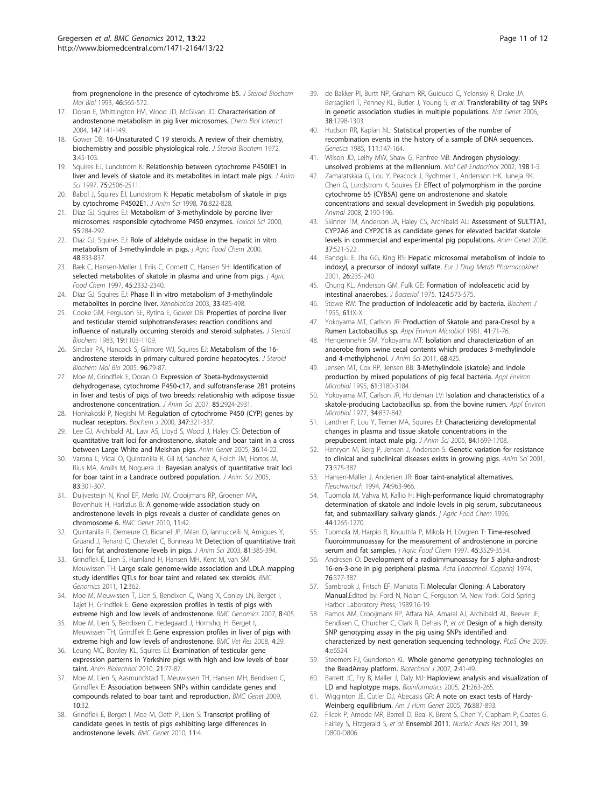<span id="page-10-0"></span>[from pregnenolone in the presence of cytochrome b5.](http://www.ncbi.nlm.nih.gov/pubmed/8240978?dopt=Abstract) J Steroid Biochem Mol Biol 1993, 46:565-572.

- 17. Doran E, Whittington FM, Wood JD, McGivan JD: [Characterisation of](http://www.ncbi.nlm.nih.gov/pubmed/15013816?dopt=Abstract) [androstenone metabolism in pig liver microsomes.](http://www.ncbi.nlm.nih.gov/pubmed/15013816?dopt=Abstract) Chem Biol Interact 2004, 147:141-149.
- 18. Gower DB: [16-Unsaturated C 19 steroids. A review of their chemistry,](http://www.ncbi.nlm.nih.gov/pubmed/4561286?dopt=Abstract) [biochemistry and possible physiological role.](http://www.ncbi.nlm.nih.gov/pubmed/4561286?dopt=Abstract) J Steroid Biochem 1972, 3:45-103.
- 19. Squires EJ, Lundstrom K: [Relationship between cytochrome P450IIE1 in](http://www.ncbi.nlm.nih.gov/pubmed/9303469?dopt=Abstract) [liver and levels of skatole and its metabolites in intact male pigs.](http://www.ncbi.nlm.nih.gov/pubmed/9303469?dopt=Abstract) J Anim Sci 1997, 75:2506-2511.
- 20. Babol J, Squires EJ, Lundstrom K: [Hepatic metabolism of skatole in pigs](http://www.ncbi.nlm.nih.gov/pubmed/9535343?dopt=Abstract) [by cytochrome P4502E1.](http://www.ncbi.nlm.nih.gov/pubmed/9535343?dopt=Abstract) J Anim Sci 1998, 76:822-828.
- 21. Diaz GJ, Squires EJ: [Metabolism of 3-methylindole by porcine liver](http://www.ncbi.nlm.nih.gov/pubmed/10828259?dopt=Abstract) [microsomes: responsible cytochrome P450 enzymes.](http://www.ncbi.nlm.nih.gov/pubmed/10828259?dopt=Abstract) Toxicol Sci 2000, 55:284-292.
- 22. Diaz GJ, Squires EJ: [Role of aldehyde oxidase in the hepatic in vitro](http://www.ncbi.nlm.nih.gov/pubmed/10725159?dopt=Abstract) [metabolism of 3-methylindole in pigs.](http://www.ncbi.nlm.nih.gov/pubmed/10725159?dopt=Abstract) j Agric Food Chem 2000, 48:833-837.
- 23. Bæk C, Hansen-Møller J, Friis C, Cornett C, Hansen SH: Identification of selected metabolites of skatole in plasma and urine from pigs. j Agric Food Chem 1997, 45:2332-2340.
- 24. Diaz GJ, Squires EJ: [Phase II in vitro metabolism of 3-methylindole](http://www.ncbi.nlm.nih.gov/pubmed/12746105?dopt=Abstract) [metabolites in porcine liver.](http://www.ncbi.nlm.nih.gov/pubmed/12746105?dopt=Abstract) Xenobiotica 2003, 33:485-498.
- 25. Cooke GM, Ferguson SE, Rytina E, Gower DB: [Properties of porcine liver](http://www.ncbi.nlm.nih.gov/pubmed/6224977?dopt=Abstract) [and testicular steroid sulphotransferases: reaction conditions and](http://www.ncbi.nlm.nih.gov/pubmed/6224977?dopt=Abstract) [influence of naturally occurring steroids and steroid sulphates.](http://www.ncbi.nlm.nih.gov/pubmed/6224977?dopt=Abstract) J Steroid Biochem 1983, 19:1103-1109.
- 26. Sinclair PA, Hancock S, Gilmore WJ, Squires EJ: Metabolism of the 16androstene steroids in primary cultured porcine hepatocytes. *J Steroid* Biochem Mol Bio 2005, 96:79-87.
- 27. Moe M, Grindflek E, Doran O: [Expression of 3beta-hydroxysteroid](http://www.ncbi.nlm.nih.gov/pubmed/17686889?dopt=Abstract) [dehydrogenase, cytochrome P450-c17, and sulfotransferase 2B1 proteins](http://www.ncbi.nlm.nih.gov/pubmed/17686889?dopt=Abstract) [in liver and testis of pigs of two breeds: relationship with adipose tissue](http://www.ncbi.nlm.nih.gov/pubmed/17686889?dopt=Abstract) [androstenone concentration.](http://www.ncbi.nlm.nih.gov/pubmed/17686889?dopt=Abstract) J Anim Sci 2007, 85:2924-2931.
- 28. Honkakoski P, Negishi M: [Regulation of cytochrome P450 \(CYP\) genes by](http://www.ncbi.nlm.nih.gov/pubmed/10749660?dopt=Abstract) [nuclear receptors.](http://www.ncbi.nlm.nih.gov/pubmed/10749660?dopt=Abstract) Biochem J 2000, 347:321-337.
- 29. Lee GJ, Archibald AL, Law AS, Lloyd S, Wood J, Haley CS: [Detection of](http://www.ncbi.nlm.nih.gov/pubmed/15670126?dopt=Abstract) [quantitative trait loci for androstenone, skatole and boar taint in a cross](http://www.ncbi.nlm.nih.gov/pubmed/15670126?dopt=Abstract) [between Large White and Meishan pigs.](http://www.ncbi.nlm.nih.gov/pubmed/15670126?dopt=Abstract) Anim Genet 2005, 36:14-22.
- 30. Varona L, Vidal O, Quintanilla R, Gil M, Sanchez A, Folch JM, Hortos M, Rius MA, Amills M, Noguera JL: [Bayesian analysis of quantitative trait loci](http://www.ncbi.nlm.nih.gov/pubmed/15644500?dopt=Abstract) [for boar taint in a Landrace outbred population.](http://www.ncbi.nlm.nih.gov/pubmed/15644500?dopt=Abstract) J Anim Sci 2005, 83:301-307.
- 31. Duijvesteijn N, Knol EF, Merks JW, Crooijmans RP, Groenen MA, Bovenhuis H, Harlizius B: [A genome-wide association study on](http://www.ncbi.nlm.nih.gov/pubmed/20487517?dopt=Abstract) [androstenone levels in pigs reveals a cluster of candidate genes on](http://www.ncbi.nlm.nih.gov/pubmed/20487517?dopt=Abstract) [chromosome 6.](http://www.ncbi.nlm.nih.gov/pubmed/20487517?dopt=Abstract) BMC Genet 2010, 11:42.
- 32. Quintanilla R, Demeure O, Bidanel JP, Milan D, Iannuccelli N, Amigues Y, Gruand J, Renard C, Chevalet C, Bonneau M: [Detection of quantitative trait](http://www.ncbi.nlm.nih.gov/pubmed/12643481?dopt=Abstract) [loci for fat androstenone levels in pigs.](http://www.ncbi.nlm.nih.gov/pubmed/12643481?dopt=Abstract) J Anim Sci 2003, 81:385-394.
- 33. Grindflek E, Lien S, Hamland H, Hansen MH, Kent M, van SM, Meuwissen TH: [Large scale genome-wide association and LDLA mapping](http://www.ncbi.nlm.nih.gov/pubmed/21752240?dopt=Abstract) [study identifies QTLs for boar taint and related sex steroids.](http://www.ncbi.nlm.nih.gov/pubmed/21752240?dopt=Abstract) BMC Genomics 2011, 12:362.
- 34. Moe M, Meuwissen T, Lien S, Bendixen C, Wang X, Conley LN, Berget I, Tajet H, Grindflek E: [Gene expression profiles in testis of pigs with](http://www.ncbi.nlm.nih.gov/pubmed/17988377?dopt=Abstract) [extreme high and low levels of androstenone.](http://www.ncbi.nlm.nih.gov/pubmed/17988377?dopt=Abstract) BMC Genomics 2007, 8:405.
- 35. Moe M, Lien S, Bendixen C, Hedegaard J, Hornshoj H, Berget I, Meuwissen TH, Grindflek E: [Gene expression profiles in liver of pigs with](http://www.ncbi.nlm.nih.gov/pubmed/18684314?dopt=Abstract) [extreme high and low levels of androstenone.](http://www.ncbi.nlm.nih.gov/pubmed/18684314?dopt=Abstract) BMC Vet Res 2008, 4:29.
- 36. Leung MC, Bowley KL, Squires EJ: [Examination of testicular gene](http://www.ncbi.nlm.nih.gov/pubmed/20379884?dopt=Abstract) [expression patterns in Yorkshire pigs with high and low levels of boar](http://www.ncbi.nlm.nih.gov/pubmed/20379884?dopt=Abstract) [taint.](http://www.ncbi.nlm.nih.gov/pubmed/20379884?dopt=Abstract) Anim Biotechnol 2010, 21:77-87.
- 37. Moe M, Lien S, Aasmundstad T, Meuwissen TH, Hansen MH, Bendixen C, Grindflek E: [Association between SNPs within candidate genes and](http://www.ncbi.nlm.nih.gov/pubmed/19575819?dopt=Abstract) [compounds related to boar taint and reproduction.](http://www.ncbi.nlm.nih.gov/pubmed/19575819?dopt=Abstract) BMC Genet 2009, 10:32.
- 38. Grindflek E, Berget I, Moe M, Oeth P, Lien S: [Transcript profiling of](http://www.ncbi.nlm.nih.gov/pubmed/20100319?dopt=Abstract) [candidate genes in testis of pigs exhibiting large differences in](http://www.ncbi.nlm.nih.gov/pubmed/20100319?dopt=Abstract) [androstenone levels.](http://www.ncbi.nlm.nih.gov/pubmed/20100319?dopt=Abstract) BMC Genet 2010, 11:4.
- 39. de Bakker PI, Burtt NP, Graham RR, Guiducci C, Yelensky R, Drake JA, Bersaglieri T, Penney KL, Butler J, Young S, et al: [Transferability of tag SNPs](http://www.ncbi.nlm.nih.gov/pubmed/17057720?dopt=Abstract) [in genetic association studies in multiple populations.](http://www.ncbi.nlm.nih.gov/pubmed/17057720?dopt=Abstract) Nat Genet 2006, 38:1298-1303.
- 40. Hudson RR, Kaplan NL: [Statistical properties of the number of](http://www.ncbi.nlm.nih.gov/pubmed/4029609?dopt=Abstract) [recombination events in the history of a sample of DNA sequences.](http://www.ncbi.nlm.nih.gov/pubmed/4029609?dopt=Abstract) Genetics 1985, 111:147-164.
- 41. Wilson JD, Leihy MW, Shaw G, Renfree MB: [Androgen physiology:](http://www.ncbi.nlm.nih.gov/pubmed/15000121?dopt=Abstract) [unsolved problems at the millennium.](http://www.ncbi.nlm.nih.gov/pubmed/15000121?dopt=Abstract) Mol Cell Endocrinol 2002, 198:1-5.
- 42. Zamaratskaia G, Lou Y, Peacock J, Rydhmer L, Andersson HK, Juneja RK, Chen G, Lundstrom K, Squires EJ: Effect of polymorphism in the porcine cytochrome b5 (CYB5A) gene on androstenone and skatole concentrations and sexual development in Swedish pig populations. Animal 2008, 2:190-196.
- 43. Skinner TM, Anderson JA, Haley CS, Archibald AL: [Assessment of SULT1A1,](http://www.ncbi.nlm.nih.gov/pubmed/16978187?dopt=Abstract) [CYP2A6 and CYP2C18 as candidate genes for elevated backfat skatole](http://www.ncbi.nlm.nih.gov/pubmed/16978187?dopt=Abstract) [levels in commercial and experimental pig populations.](http://www.ncbi.nlm.nih.gov/pubmed/16978187?dopt=Abstract) Anim Genet 2006, 37:521-522.
- Banoglu E, Jha GG, King RS: [Hepatic microsomal metabolism of indole to](http://www.ncbi.nlm.nih.gov/pubmed/11808865?dopt=Abstract) [indoxyl, a precursor of indoxyl sulfate.](http://www.ncbi.nlm.nih.gov/pubmed/11808865?dopt=Abstract) Eur J Drug Metab Pharmacokinet 2001, 26:235-240.
- 45. Chung KL, Anderson GM, Fulk GE: [Formation of indoleacetic acid by](http://www.ncbi.nlm.nih.gov/pubmed/1236846?dopt=Abstract) [intestinal anaerobes.](http://www.ncbi.nlm.nih.gov/pubmed/1236846?dopt=Abstract) *I Bacteriol* 1975, 124:573-575.
- 46. Stowe RW: The production of indoleacetic acid by bacteria. Biochem J 1955, 61:IX-X.
- 47. Yokoyama MT, Carlson JR: [Production of Skatole and para-Cresol by a](http://www.ncbi.nlm.nih.gov/pubmed/16345702?dopt=Abstract) [Rumen Lactobacillus sp.](http://www.ncbi.nlm.nih.gov/pubmed/16345702?dopt=Abstract) Appl Environ Microbiol 1981, 41:71-76.
- 48. Hengemnehle SM, Yokoyama MT: Isolation and characterization of an anaerobe from swine cecal contents which produces 3-methylindole and 4-methylphenol. J Anim Sci 2011, 68:425.
- 49. Jensen MT, Cox RP, Jensen BB: [3-Methylindole \(skatole\) and indole](http://www.ncbi.nlm.nih.gov/pubmed/7487051?dopt=Abstract) [production by mixed populations of pig fecal bacteria.](http://www.ncbi.nlm.nih.gov/pubmed/7487051?dopt=Abstract) Appl Environ Microbiol 1995, 61:3180-3184.
- 50. Yokoyama MT, Carlson JR, Holdeman LV: [Isolation and characteristics of a](http://www.ncbi.nlm.nih.gov/pubmed/563703?dopt=Abstract) [skatole-producing Lactobacillus sp. from the bovine rumen.](http://www.ncbi.nlm.nih.gov/pubmed/563703?dopt=Abstract) Appl Environ Microbiol 1977, 34:837-842.
- 51. Lanthier F, Lou Y, Terner MA, Squires EJ: [Characterizing developmental](http://www.ncbi.nlm.nih.gov/pubmed/16775053?dopt=Abstract) [changes in plasma and tissue skatole concentrations in the](http://www.ncbi.nlm.nih.gov/pubmed/16775053?dopt=Abstract) [prepubescent intact male pig.](http://www.ncbi.nlm.nih.gov/pubmed/16775053?dopt=Abstract) J Anim Sci 2006, 84:1699-1708.
- 52. Henryon M, Berg P, Jensen J, Andersen S: Genetic variation for resistance to clinical and subclinical diseases exists in growing pigs. Anim Sci 2001, 73:375-387.
- 53. Hansen-Møller J, Andersen JR: Boar taint-analytical alternatives. Fleischwirtsch 1994, 74:963-966.
- 54. Tuomola M, Vahva M, Kallio H: High-performance liquid chromatography determination of skatole and indole levels in pig serum, subcutaneous fat, and submaxillary salivary glands. j Agric Food Chem 1996, 44:1265-1270.
- 55. Tuomola M, Harpio R, Knuuttila P, Mikola H, Lövgren T: Time-resolved fluoroimmunoassay for the measurement of androstenone in porcine serum and fat samples. j Agric Food Chem 1997, 45:3529-3534.
- 56. Andresen O: Development of a radioimmunoassay for 5 alpha-androst-16-en-3-one in pig peripheral plasma. Acta Endocrinol (Copenh) 1974, 76:377-387.
- 57. Sambrook J, Fritsch EF, Maniatis T: Molecular Cloning: A Laboratory Manual.Edited by: Ford N, Nolan C, Ferguson M. New York: Cold Spring Harbor Laboratory Press; 1989:16-19.
- 58. Ramos AM, Crooijmans RP, Affara NA, Amaral AJ, Archibald AL, Beever JE, Bendixen C, Churcher C, Clark R, Dehais P, et al: [Design of a high density](http://www.ncbi.nlm.nih.gov/pubmed/19654876?dopt=Abstract) [SNP genotyping assay in the pig using SNPs identified and](http://www.ncbi.nlm.nih.gov/pubmed/19654876?dopt=Abstract) [characterized by next generation sequencing technology.](http://www.ncbi.nlm.nih.gov/pubmed/19654876?dopt=Abstract) PLoS One 2009, 4:e6524.
- 59. Steemers FJ, Gunderson KL: [Whole genome genotyping technologies on](http://www.ncbi.nlm.nih.gov/pubmed/17225249?dopt=Abstract) [the BeadArray platform.](http://www.ncbi.nlm.nih.gov/pubmed/17225249?dopt=Abstract) Biotechnol J 2007, 2:41-49
- 60. Barrett JC, Fry B, Maller J, Daly MJ: [Haploview: analysis and visualization of](http://www.ncbi.nlm.nih.gov/pubmed/15297300?dopt=Abstract) [LD and haplotype maps.](http://www.ncbi.nlm.nih.gov/pubmed/15297300?dopt=Abstract) Bioinformatics 2005, 21:263-265.
- 61. Wigginton JE, Cutler DJ, Abecasis GR: [A note on exact tests of Hardy-](http://www.ncbi.nlm.nih.gov/pubmed/15789306?dopt=Abstract)[Weinberg equilibrium.](http://www.ncbi.nlm.nih.gov/pubmed/15789306?dopt=Abstract) Am J Hum Genet 2005, 76:887-893.
- 62. Flicek P, Amode MR, Barrell D, Beal K, Brent S, Chen Y, Clapham P, Coates G, Fairley S, Fitzgerald S, et al: [Ensembl 2011.](http://www.ncbi.nlm.nih.gov/pubmed/21045057?dopt=Abstract) Nucleic Acids Res 2011, 39: D800-D806.